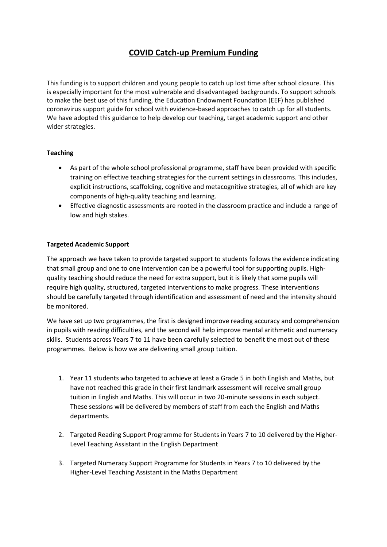# **COVID Catch-up Premium Funding**

This funding is to support children and young people to catch up lost time after school closure. This is especially important for the most vulnerable and disadvantaged backgrounds. To support schools to make the best use of this funding, the Education Endowment Foundation (EEF) has published coronavirus support guide for school with evidence-based approaches to catch up for all students. We have adopted this guidance to help develop our teaching, target academic support and other wider strategies.

### **Teaching**

- As part of the whole school professional programme, staff have been provided with specific training on effective teaching strategies for the current settings in classrooms. This includes, explicit instructions, scaffolding, cognitive and metacognitive strategies, all of which are key components of high-quality teaching and learning.
- Effective diagnostic assessments are rooted in the classroom practice and include a range of low and high stakes.

### **Targeted Academic Support**

The approach we have taken to provide targeted support to students follows the evidence indicating that small group and one to one intervention can be a powerful tool for supporting pupils. Highquality teaching should reduce the need for extra support, but it is likely that some pupils will require high quality, structured, targeted interventions to make progress. These interventions should be carefully targeted through identification and assessment of need and the intensity should be monitored.

We have set up two programmes, the first is designed improve reading accuracy and comprehension in pupils with reading difficulties, and the second will help improve mental arithmetic and numeracy skills. Students across Years 7 to 11 have been carefully selected to benefit the most out of these programmes. Below is how we are delivering small group tuition.

- 1. Year 11 students who targeted to achieve at least a Grade 5 in both English and Maths, but have not reached this grade in their first landmark assessment will receive small group tuition in English and Maths. This will occur in two 20-minute sessions in each subject. These sessions will be delivered by members of staff from each the English and Maths departments.
- 2. Targeted Reading Support Programme for Students in Years 7 to 10 delivered by the Higher-Level Teaching Assistant in the English Department
- 3. Targeted Numeracy Support Programme for Students in Years 7 to 10 delivered by the Higher-Level Teaching Assistant in the Maths Department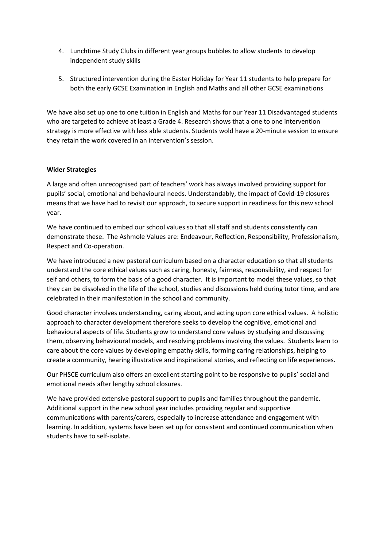- 4. Lunchtime Study Clubs in different year groups bubbles to allow students to develop independent study skills
- 5. Structured intervention during the Easter Holiday for Year 11 students to help prepare for both the early GCSE Examination in English and Maths and all other GCSE examinations

We have also set up one to one tuition in English and Maths for our Year 11 Disadvantaged students who are targeted to achieve at least a Grade 4. Research shows that a one to one intervention strategy is more effective with less able students. Students wold have a 20-minute session to ensure they retain the work covered in an intervention's session.

#### **Wider Strategies**

A large and often unrecognised part of teachers' work has always involved providing support for pupils' social, emotional and behavioural needs. Understandably, the impact of Covid-19 closures means that we have had to revisit our approach, to secure support in readiness for this new school year.

We have continued to embed our school values so that all staff and students consistently can demonstrate these. The Ashmole Values are: Endeavour, Reflection, Responsibility, Professionalism, Respect and Co-operation.

We have introduced a new pastoral curriculum based on a character education so that all students understand the core ethical values such as caring, honesty, fairness, responsibility, and respect for self and others, to form the basis of a good character. It is important to model these values, so that they can be dissolved in the life of the school, studies and discussions held during tutor time, and are celebrated in their manifestation in the school and community.

Good character involves understanding, caring about, and acting upon core ethical values. A holistic approach to character development therefore seeks to develop the cognitive, emotional and behavioural aspects of life. Students grow to understand core values by studying and discussing them, observing behavioural models, and resolving problems involving the values. Students learn to care about the core values by developing empathy skills, forming caring relationships, helping to create a community, hearing illustrative and inspirational stories, and reflecting on life experiences.

Our PHSCE curriculum also offers an excellent starting point to be responsive to pupils' social and emotional needs after lengthy school closures.

We have provided extensive pastoral support to pupils and families throughout the pandemic. Additional support in the new school year includes providing regular and supportive communications with parents/carers, especially to increase attendance and engagement with learning. In addition, systems have been set up for consistent and continued communication when students have to self-isolate.